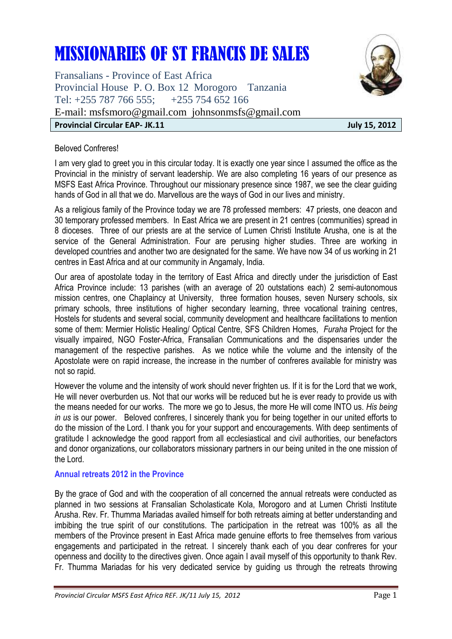# MISSIONARIES OF ST FRANCIS DE SALES

Fransalians - Province of East Africa Provincial House P. O. Box 12 Morogoro Tanzania Tel: +255 787 766 555; +255 754 652 166 E-mail: [msfsmoro@gmail.com](mailto:msfsmoro@gmail.com) johnsonmsfs@gmail.com **Provincial Circular EAP- JK.11 July 15, 2012**



# Beloved Confreres!

I am very glad to greet you in this circular today. It is exactly one year since I assumed the office as the Provincial in the ministry of servant leadership. We are also completing 16 years of our presence as MSFS East Africa Province. Throughout our missionary presence since 1987, we see the clear guiding hands of God in all that we do. Marvellous are the ways of God in our lives and ministry.

As a religious family of the Province today we are 78 professed members: 47 priests, one deacon and 30 temporary professed members. In East Africa we are present in 21 centres (communities) spread in 8 dioceses. Three of our priests are at the service of Lumen Christi Institute Arusha, one is at the service of the General Administration. Four are perusing higher studies. Three are working in developed countries and another two are designated for the same. We have now 34 of us working in 21 centres in East Africa and at our community in Angamaly, India.

Our area of apostolate today in the territory of East Africa and directly under the jurisdiction of East Africa Province include: 13 parishes (with an average of 20 outstations each) 2 semi-autonomous mission centres, one Chaplaincy at University, three formation houses, seven Nursery schools, six primary schools, three institutions of higher secondary learning, three vocational training centres, Hostels for students and several social, community development and healthcare facilitations to mention some of them: Mermier Holistic Healing/ Optical Centre, SFS Children Homes, *Furaha* Project for the visually impaired, NGO Foster-Africa, Fransalian Communications and the dispensaries under the management of the respective parishes. As we notice while the volume and the intensity of the Apostolate were on rapid increase, the increase in the number of confreres available for ministry was not so rapid.

However the volume and the intensity of work should never frighten us. If it is for the Lord that we work, He will never overburden us. Not that our works will be reduced but he is ever ready to provide us with the means needed for our works. The more we go to Jesus, the more He will come INTO us. *His being in us* is our power. Beloved confreres, I sincerely thank you for being together in our united efforts to do the mission of the Lord. I thank you for your support and encouragements. With deep sentiments of gratitude I acknowledge the good rapport from all ecclesiastical and civil authorities, our benefactors and donor organizations, our collaborators missionary partners in our being united in the one mission of the Lord.

# **Annual retreats 2012 in the Province**

By the grace of God and with the cooperation of all concerned the annual retreats were conducted as planned in two sessions at Fransalian Scholasticate Kola, Morogoro and at Lumen Christi Institute Arusha. Rev. Fr. Thumma Mariadas availed himself for both retreats aiming at better understanding and imbibing the true spirit of our constitutions. The participation in the retreat was 100% as all the members of the Province present in East Africa made genuine efforts to free themselves from various engagements and participated in the retreat. I sincerely thank each of you dear confreres for your openness and docility to the directives given. Once again I avail myself of this opportunity to thank Rev. Fr. Thumma Mariadas for his very dedicated service by guiding us through the retreats throwing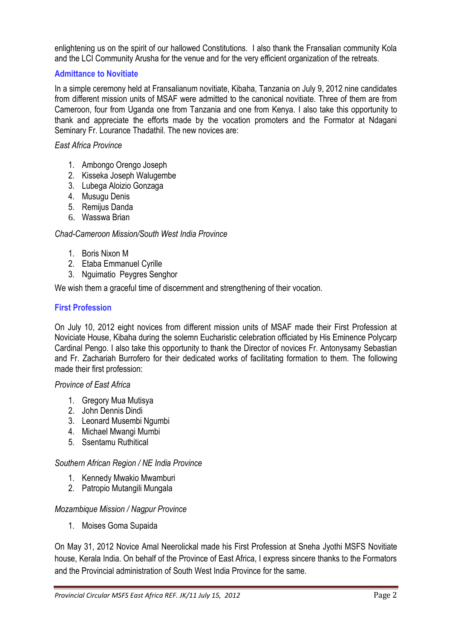enlightening us on the spirit of our hallowed Constitutions. I also thank the Fransalian community Kola and the LCI Community Arusha for the venue and for the very efficient organization of the retreats.

# **Admittance to Novitiate**

In a simple ceremony held at Fransalianum novitiate, Kibaha, Tanzania on July 9, 2012 nine candidates from different mission units of MSAF were admitted to the canonical novitiate. Three of them are from Cameroon, four from Uganda one from Tanzania and one from Kenya. I also take this opportunity to thank and appreciate the efforts made by the vocation promoters and the Formator at Ndagani Seminary Fr. Lourance Thadathil. The new novices are:

# *East Africa Province*

- 1. Ambongo Orengo Joseph
- 2. Kisseka Joseph Walugembe
- 3. Lubega Aloizio Gonzaga
- 4. Musugu Denis
- 5. Remijus Danda
- 6. Wasswa Brian

#### *Chad-Cameroon Mission/South West India Province*

- 1. Boris Nixon M
- 2. Etaba Emmanuel Cyrille
- 3. Nguimatio Peygres Senghor

We wish them a graceful time of discernment and strengthening of their vocation.

# **First Profession**

On July 10, 2012 eight novices from different mission units of MSAF made their First Profession at Noviciate House, Kibaha during the solemn Eucharistic celebration officiated by His Eminence Polycarp Cardinal Pengo. I also take this opportunity to thank the Director of novices Fr. Antonysamy Sebastian and Fr. Zachariah Burrofero for their dedicated works of facilitating formation to them. The following made their first profession:

# *Province of East Africa*

- 1. Gregory Mua Mutisya
- 2. John Dennis Dindi
- 3. Leonard Musembi Ngumbi
- 4. Michael Mwangi Mumbi
- 5. Ssentamu Ruthitical

# *Southern African Region / NE India Province*

- 1. Kennedy Mwakio Mwamburi
- 2. Patropio Mutangili Mungala

# *Mozambique Mission / Nagpur Province*

1. Moises Goma Supaida

On May 31, 2012 Novice Amal Neerolickal made his First Profession at Sneha Jyothi MSFS Novitiate house, Kerala India. On behalf of the Province of East Africa, I express sincere thanks to the Formators and the Provincial administration of South West India Province for the same.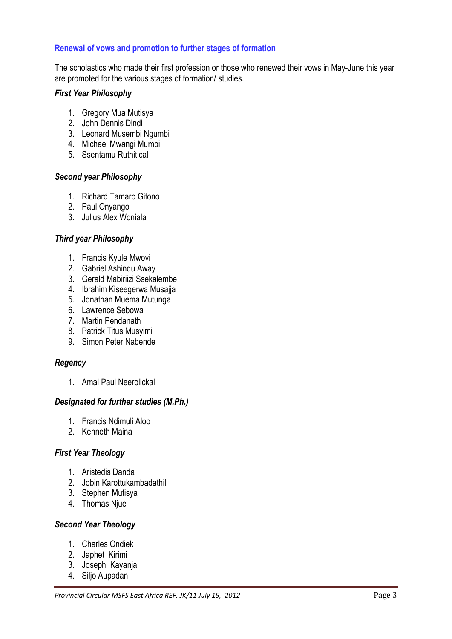# **Renewal of vows and promotion to further stages of formation**

The scholastics who made their first profession or those who renewed their vows in May-June this year are promoted for the various stages of formation/ studies.

#### *First Year Philosophy*

- 1. Gregory Mua Mutisya
- 2. John Dennis Dindi
- 3. Leonard Musembi Ngumbi
- 4. Michael Mwangi Mumbi
- 5. Ssentamu Ruthitical

#### *Second year Philosophy*

- 1. Richard Tamaro Gitono
- 2. Paul Onyango
- 3. Julius Alex Woniala

#### *Third year Philosophy*

- 1. Francis Kyule Mwovi
- 2. Gabriel Ashindu Away
- 3. Gerald Mabiriizi Ssekalembe
- 4. Ibrahim Kiseegerwa Musajja
- 5. Jonathan Muema Mutunga
- 6. Lawrence Sebowa
- 7. Martin Pendanath
- 8. Patrick Titus Musyimi
- 9. Simon Peter Nabende

# *Regency*

1. Amal Paul Neerolickal

#### *Designated for further studies (M.Ph.)*

- 1. Francis Ndimuli Aloo
- 2. Kenneth Maina

# *First Year Theology*

- 1. Aristedis Danda
- 2. Jobin Karottukambadathil
- 3. Stephen Mutisya
- 4. Thomas Njue

#### *Second Year Theology*

- 1. Charles Ondiek
- 2. Japhet Kirimi
- 3. Joseph Kayanja
- 4. Siljo Aupadan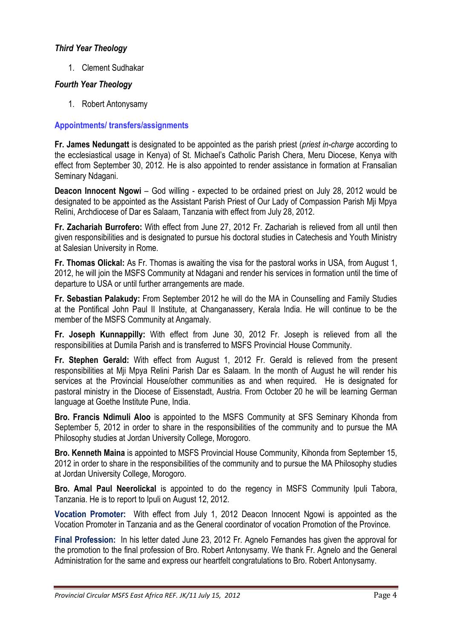# *Third Year Theology*

1. Clement Sudhakar

# *Fourth Year Theology*

1. Robert Antonysamy

# **Appointments/ transfers/assignments**

**Fr. James Nedungatt** is designated to be appointed as the parish priest (*priest in-charge* according to the ecclesiastical usage in Kenya) of St. Michael's Catholic Parish Chera, Meru Diocese, Kenya with effect from September 30, 2012. He is also appointed to render assistance in formation at Fransalian Seminary Ndagani.

**Deacon Innocent Ngowi** – God willing - expected to be ordained priest on July 28, 2012 would be designated to be appointed as the Assistant Parish Priest of Our Lady of Compassion Parish Mji Mpya Relini, Archdiocese of Dar es Salaam, Tanzania with effect from July 28, 2012.

**Fr. Zachariah Burrofero:** With effect from June 27, 2012 Fr. Zachariah is relieved from all until then given responsibilities and is designated to pursue his doctoral studies in Catechesis and Youth Ministry at Salesian University in Rome.

**Fr. Thomas Olickal:** As Fr. Thomas is awaiting the visa for the pastoral works in USA, from August 1, 2012, he will join the MSFS Community at Ndagani and render his services in formation until the time of departure to USA or until further arrangements are made.

**Fr. Sebastian Palakudy:** From September 2012 he will do the MA in Counselling and Family Studies at the Pontifical John Paul II Institute, at Changanassery, Kerala India. He will continue to be the member of the MSFS Community at Angamaly.

**Fr. Joseph Kunnappilly:** With effect from June 30, 2012 Fr. Joseph is relieved from all the responsibilities at Dumila Parish and is transferred to MSFS Provincial House Community.

**Fr. Stephen Gerald:** With effect from August 1, 2012 Fr. Gerald is relieved from the present responsibilities at Mji Mpya Relini Parish Dar es Salaam. In the month of August he will render his services at the Provincial House/other communities as and when required. He is designated for pastoral ministry in the Diocese of Eissenstadt, Austria. From October 20 he will be learning German language at Goethe Institute Pune, India.

**Bro. Francis Ndimuli Aloo** is appointed to the MSFS Community at SFS Seminary Kihonda from September 5, 2012 in order to share in the responsibilities of the community and to pursue the MA Philosophy studies at Jordan University College, Morogoro.

**Bro. Kenneth Maina** is appointed to MSFS Provincial House Community, Kihonda from September 15, 2012 in order to share in the responsibilities of the community and to pursue the MA Philosophy studies at Jordan University College, Morogoro.

**Bro. Amal Paul Neerolickal** is appointed to do the regency in MSFS Community Ipuli Tabora, Tanzania. He is to report to Ipuli on August 12, 2012.

**Vocation Promoter:** With effect from July 1, 2012 Deacon Innocent Ngowi is appointed as the Vocation Promoter in Tanzania and as the General coordinator of vocation Promotion of the Province.

**Final Profession:** In his letter dated June 23, 2012 Fr. Agnelo Fernandes has given the approval for the promotion to the final profession of Bro. Robert Antonysamy. We thank Fr. Agnelo and the General Administration for the same and express our heartfelt congratulations to Bro. Robert Antonysamy.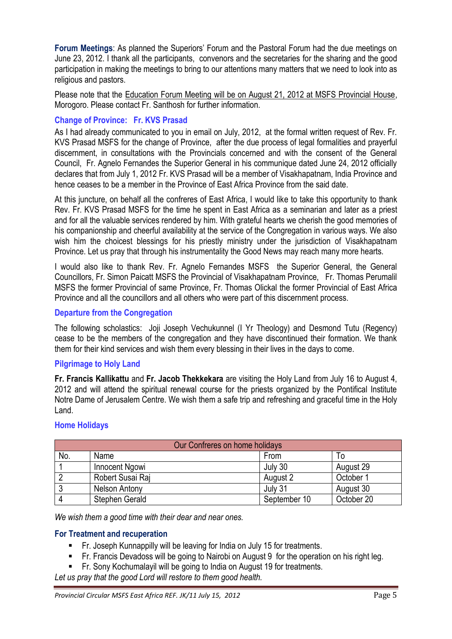**Forum Meetings**: As planned the Superiors' Forum and the Pastoral Forum had the due meetings on June 23, 2012. I thank all the participants, convenors and the secretaries for the sharing and the good participation in making the meetings to bring to our attentions many matters that we need to look into as religious and pastors.

Please note that the Education Forum Meeting will be on August 21, 2012 at MSFS Provincial House, Morogoro. Please contact Fr. Santhosh for further information.

# **Change of Province: Fr. KVS Prasad**

As I had already communicated to you in email on July, 2012, at the formal written request of Rev. Fr. KVS Prasad MSFS for the change of Province, after the due process of legal formalities and prayerful discernment, in consultations with the Provincials concerned and with the consent of the General Council, Fr. Agnelo Fernandes the Superior General in his communique dated June 24, 2012 officially declares that from July 1, 2012 Fr. KVS Prasad will be a member of Visakhapatnam, India Province and hence ceases to be a member in the Province of East Africa Province from the said date.

At this juncture, on behalf all the confreres of East Africa, I would like to take this opportunity to thank Rev. Fr. KVS Prasad MSFS for the time he spent in East Africa as a seminarian and later as a priest and for all the valuable services rendered by him. With grateful hearts we cherish the good memories of his companionship and cheerful availability at the service of the Congregation in various ways. We also wish him the choicest blessings for his priestly ministry under the jurisdiction of Visakhapatnam Province. Let us pray that through his instrumentality the Good News may reach many more hearts.

I would also like to thank Rev. Fr. Agnelo Fernandes MSFS the Superior General, the General Councillors, Fr. Simon Paicatt MSFS the Provincial of Visakhapatnam Province, Fr. Thomas Perumalil MSFS the former Provincial of same Province, Fr. Thomas Olickal the former Provincial of East Africa Province and all the councillors and all others who were part of this discernment process.

# **Departure from the Congregation**

The following scholastics: Joji Joseph Vechukunnel (I Yr Theology) and Desmond Tutu (Regency) cease to be the members of the congregation and they have discontinued their formation. We thank them for their kind services and wish them every blessing in their lives in the days to come.

# **Pilgrimage to Holy Land**

**Fr. Francis Kallikattu** and **Fr. Jacob Thekkekara** are visiting the Holy Land from July 16 to August 4, 2012 and will attend the spiritual renewal course for the priests organized by the Pontifical Institute Notre Dame of Jerusalem Centre. We wish them a safe trip and refreshing and graceful time in the Holy Land.

# **Home Holidays**

| Our Confreres on home holidays |                       |              |            |  |
|--------------------------------|-----------------------|--------------|------------|--|
| No.                            | Name                  | From         | ۱o         |  |
|                                | Innocent Ngowi        | July 30      | August 29  |  |
|                                | Robert Susai Raj      | August 2     | October 1  |  |
|                                | Nelson Antony         | July 31      | August 30  |  |
|                                | <b>Stephen Gerald</b> | September 10 | October 20 |  |

*We wish them a good time with their dear and near ones.* 

# **For Treatment and recuperation**

- Fr. Joseph Kunnappilly will be leaving for India on July 15 for treatments.
- Fr. Francis Devadoss will be going to Nairobi on August 9 for the operation on his right leg.
- Fr. Sony Kochumalayil will be going to India on August 19 for treatments.

*Let us pray that the good Lord will restore to them good health.*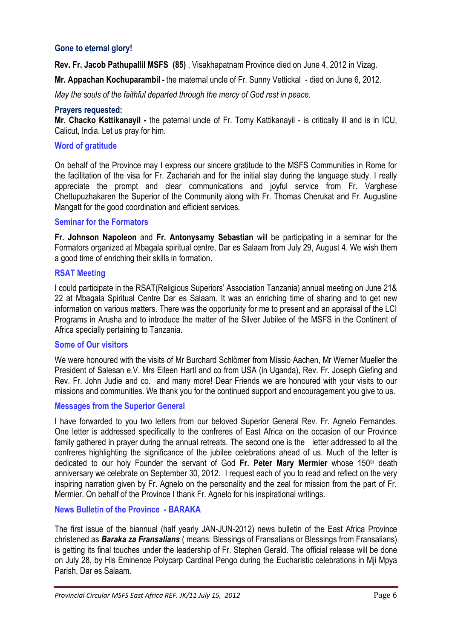# **Gone to eternal glory!**

**Rev. Fr. Jacob Pathupallil MSFS (85)** , Visakhapatnam Province died on June 4, 2012 in Vizag.

**Mr. Appachan Kochuparambil -** the maternal uncle of Fr. Sunny Vettickal - died on June 6, 2012.

*May the souls of the faithful departed through the mercy of God rest in peace.* 

#### **Prayers requested:**

**Mr. Chacko Kattikanayil -** the paternal uncle of Fr. Tomy Kattikanayil - is critically ill and is in ICU, Calicut, India. Let us pray for him.

#### **Word of gratitude**

On behalf of the Province may I express our sincere gratitude to the MSFS Communities in Rome for the facilitation of the visa for Fr. Zachariah and for the initial stay during the language study. I really appreciate the prompt and clear communications and joyful service from Fr. Varghese Chettupuzhakaren the Superior of the Community along with Fr. Thomas Cherukat and Fr. Augustine Mangatt for the good coordination and efficient services.

#### **Seminar for the Formators**

**Fr. Johnson Napoleon** and **Fr. Antonysamy Sebastian** will be participating in a seminar for the Formators organized at Mbagala spiritual centre, Dar es Salaam from July 29, August 4. We wish them a good time of enriching their skills in formation.

#### **RSAT Meeting**

I could participate in the RSAT(Religious Superiors' Association Tanzania) annual meeting on June 21& 22 at Mbagala Spiritual Centre Dar es Salaam. It was an enriching time of sharing and to get new information on various matters. There was the opportunity for me to present and an appraisal of the LCI Programs in Arusha and to introduce the matter of the Silver Jubilee of the MSFS in the Continent of Africa specially pertaining to Tanzania.

#### **Some of Our visitors**

We were honoured with the visits of Mr Burchard Schlömer from Missio Aachen, Mr Werner Mueller the President of Salesan e.V. Mrs Eileen Hartl and co from USA (in Uganda), Rev. Fr. Joseph Giefing and Rev. Fr. John Judie and co. and many more! Dear Friends we are honoured with your visits to our missions and communities. We thank you for the continued support and encouragement you give to us.

#### **Messages from the Superior General**

I have forwarded to you two letters from our beloved Superior General Rev. Fr. Agnelo Fernandes. One letter is addressed specifically to the confreres of East Africa on the occasion of our Province family gathered in prayer during the annual retreats. The second one is the letter addressed to all the confreres highlighting the significance of the jubilee celebrations ahead of us. Much of the letter is dedicated to our holy Founder the servant of God Fr. Peter Mary Mermier whose 150<sup>th</sup> death anniversary we celebrate on September 30, 2012. I request each of you to read and reflect on the very inspiring narration given by Fr. Agnelo on the personality and the zeal for mission from the part of Fr. Mermier. On behalf of the Province I thank Fr. Agnelo for his inspirational writings.

#### **News Bulletin of the Province - BARAKA**

The first issue of the biannual (half yearly JAN-JUN-2012) news bulletin of the East Africa Province christened as *Baraka za Fransalians* ( means: Blessings of Fransalians or Blessings from Fransalians) is getting its final touches under the leadership of Fr. Stephen Gerald. The official release will be done on July 28, by His Eminence Polycarp Cardinal Pengo during the Eucharistic celebrations in Mji Mpya Parish, Dar es Salaam.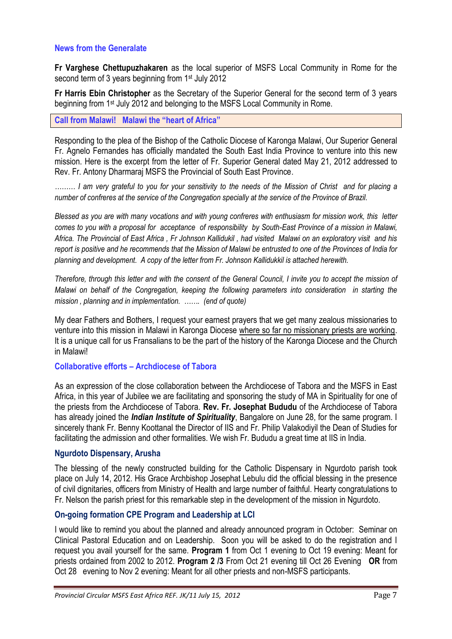### **News from the Generalate**

**Fr Varghese Chettupuzhakaren** as the local superior of MSFS Local Community in Rome for the second term of 3 years beginning from 1<sup>st</sup> July 2012

**Fr Harris Ebin Christopher** as the Secretary of the Superior General for the second term of 3 years beginning from 1st July 2012 and belonging to the MSFS Local Community in Rome.

**Call from Malawi! Malawi the "heart of Africa"**

Responding to the plea of the Bishop of the Catholic Diocese of Karonga Malawi, Our Superior General Fr. Agnelo Fernandes has officially mandated the South East India Province to venture into this new mission. Here is the excerpt from the letter of Fr. Superior General dated May 21, 2012 addressed to Rev. Fr. Antony Dharmaraj MSFS the Provincial of South East Province.

*……… I am very grateful to you for your sensitivity to the needs of the Mission of Christ and for placing a number of confreres at the service of the Congregation specially at the service of the Province of Brazil.*

*Blessed as you are with many vocations and with young confreres with enthusiasm for mission work, this letter comes to you with a proposal for acceptance of responsibility by South-East Province of a mission in Malawi, Africa. The Provincial of East Africa , Fr Johnson Kallidukil , had visited Malawi on an exploratory visit and his report is positive and he recommends that the Mission of Malawi be entrusted to one of the Provinces of India for planning and development. A copy of the letter from Fr. Johnson Kallidukkil is attached herewith.* 

*Therefore, through this letter and with the consent of the General Council, I invite you to accept the mission of Malawi on behalf of the Congregation, keeping the following parameters into consideration in starting the mission , planning and in implementation. ……. (end of quote)*

My dear Fathers and Bothers, I request your earnest prayers that we get many zealous missionaries to venture into this mission in Malawi in Karonga Diocese where so far no missionary priests are working. It is a unique call for us Fransalians to be the part of the history of the Karonga Diocese and the Church in Malawi!

#### **Collaborative efforts – Archdiocese of Tabora**

As an expression of the close collaboration between the Archdiocese of Tabora and the MSFS in East Africa, in this year of Jubilee we are facilitating and sponsoring the study of MA in Spirituality for one of the priests from the Archdiocese of Tabora. **Rev. Fr. Josephat Bududu** of the Archdiocese of Tabora has already joined the *Indian Institute of Spirituality*, Bangalore on June 28, for the same program. I sincerely thank Fr. Benny Koottanal the Director of IIS and Fr. Philip Valakodiyil the Dean of Studies for facilitating the admission and other formalities. We wish Fr. Bududu a great time at IIS in India.

#### **Ngurdoto Dispensary, Arusha**

The blessing of the newly constructed building for the Catholic Dispensary in Ngurdoto parish took place on July 14, 2012. His Grace Archbishop Josephat Lebulu did the official blessing in the presence of civil dignitaries, officers from Ministry of Health and large number of faithful. Hearty congratulations to Fr. Nelson the parish priest for this remarkable step in the development of the mission in Ngurdoto.

#### **On-going formation CPE Program and Leadership at LCI**

I would like to remind you about the planned and already announced program in October: Seminar on Clinical Pastoral Education and on Leadership. Soon you will be asked to do the registration and I request you avail yourself for the same. **Program 1** from Oct 1 evening to Oct 19 evening: Meant for priests ordained from 2002 to 2012. **Program 2 /3** From Oct 21 evening till Oct 26 Evening **OR** from Oct 28 evening to Nov 2 evening: Meant for all other priests and non-MSFS participants.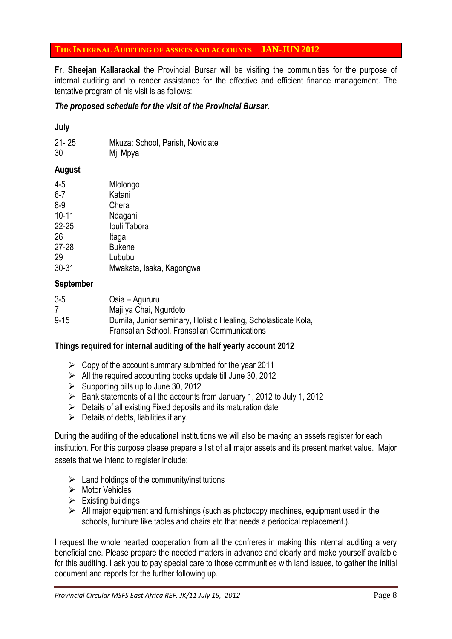#### **THE INTERNAL AUDITING OF ASSETS AND ACCOUNTS JAN-JUN 2012**

**Fr. Sheejan Kallarackal** the Provincial Bursar will be visiting the communities for the purpose of internal auditing and to render assistance for the effective and efficient finance management. The tentative program of his visit is as follows:

#### *The proposed schedule for the visit of the Provincial Bursar.*

#### **July**

- 21- 25 Mkuza: School, Parish, Noviciate
- 30 Mji Mpya

#### **August**

| $4 - 5$   | Mlolongo                 |
|-----------|--------------------------|
| $6 - 7$   | Katani                   |
| $8-9$     | Chera                    |
| $10 - 11$ | Ndagani                  |
| $22 - 25$ | Ipuli Tabora             |
| 26        | Itaga                    |
| $27 - 28$ | <b>Bukene</b>            |
| 29        | Lububu                   |
| 30-31     | Mwakata, Isaka, Kagongwa |

#### **September**

| $3-5$    | Osia – Agururu                                                 |
|----------|----------------------------------------------------------------|
|          | Maji ya Chai, Ngurdoto                                         |
| $9 - 15$ | Dumila, Junior seminary, Holistic Healing, Scholasticate Kola, |
|          | Fransalian School, Fransalian Communications                   |

#### **Things required for internal auditing of the half yearly account 2012**

- $\triangleright$  Copy of the account summary submitted for the year 2011
- $\triangleright$  All the required accounting books update till June 30, 2012
- $\triangleright$  Supporting bills up to June 30, 2012
- $\triangleright$  Bank statements of all the accounts from January 1, 2012 to July 1, 2012
- $\triangleright$  Details of all existing Fixed deposits and its maturation date
- $\triangleright$  Details of debts, liabilities if any.

During the auditing of the educational institutions we will also be making an assets register for each institution. For this purpose please prepare a list of all major assets and its present market value. Major assets that we intend to register include:

- $\triangleright$  Land holdings of the community/institutions
- $\triangleright$  Motor Vehicles
- $\triangleright$  Existing buildings
- $\triangleright$  All maior equipment and furnishings (such as photocopy machines, equipment used in the schools, furniture like tables and chairs etc that needs a periodical replacement.).

I request the whole hearted cooperation from all the confreres in making this internal auditing a very beneficial one. Please prepare the needed matters in advance and clearly and make yourself available for this auditing. I ask you to pay special care to those communities with land issues, to gather the initial document and reports for the further following up.